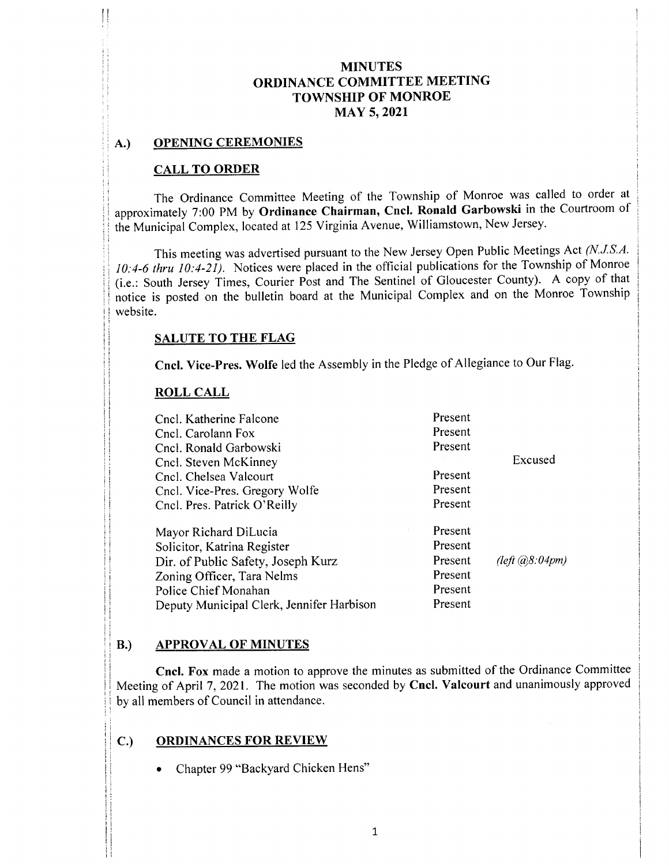#### A.) OPENING CEREMONIES

l0

fi

ji

#### CALL TO ORDER

The Ordinance Committee Meeting of the Township of Monroe was called to order at approximately 7:00 PM by Ordinance Chairman, Cncl. Ronald Garbowski in the Courtroom of the Municipal Complex, located at 125 Virginia Avenue, Williamstown, New Jersey.

This meeting was advertised pursuant to the New Jersey Open Public Meetings Act (N.J.S.A. 10:4-6 thru 10:4-21). Notices were placed in the official publications for the Township of Monroe i. e.: South Jersey Times, Courier Post and The Sentinel of Gloucester County). A copy of that notice is posted on the bulletin board at the Municipal Complex and on the Monroe Township website.

#### SALUTE TO THE FLAG

Cncl. Vice-Pres. Wolfe led the Assembly in the Pledge of Allegiance to Our Flag.

#### ROLL CALL

| Cncl. Katherine Falcone<br>Cncl. Carolann Fox | Present<br>Present |                                       |
|-----------------------------------------------|--------------------|---------------------------------------|
| Cncl. Ronald Garbowski                        | Present            |                                       |
| Cncl. Steven McKinney                         |                    | Excused                               |
| Cncl. Chelsea Valcourt                        | Present            |                                       |
| Cncl. Vice-Pres. Gregory Wolfe                | Present            |                                       |
| Cncl. Pres. Patrick O'Reilly                  | Present            |                                       |
| Mayor Richard DiLucia                         | Present            |                                       |
| Solicitor, Katrina Register                   | Present            |                                       |
| Dir. of Public Safety, Joseph Kurz            | Present            | $\text{Left}(\text{a}8.04 \text{pm})$ |
| Zoning Officer, Tara Nelms                    | Present            |                                       |
| Police Chief Monahan                          | Present            |                                       |
| Deputy Municipal Clerk, Jennifer Harbison     | Present            |                                       |

### B.) APPROVAL OF MINUTES

Cncl. Fox made <sup>a</sup> motion to approve the minutes as submitted of the Ordinance Committee Meeting of April 7, 2021. The motion was seconded by Cncl. Valcourt and unanimously approved by all members of Council in attendance.

### C.) ORDINANCES FOR REVIEW

Chapter 99 "Backyard Chicken Hens"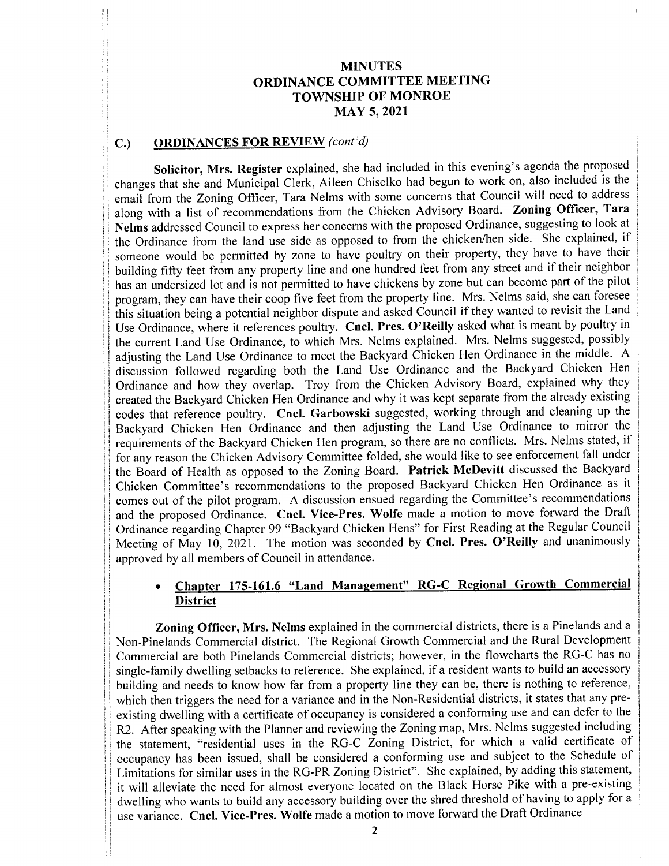### C.) ORDINANCES FOR REVIEW (cont'd)

Solicitor, Mrs. Register explained, she had included in this evening's agenda the proposed changes that she and Municipal Clerk, Aileen Chiselko had begun to work on, also included is the email from the Zoning Officer, Tara Nelms with some concerns that Council will need to address along with <sup>a</sup> list of recommendations from the Chicken Advisory Board. Zoning Officer, Tara Nelms addressed Council to express her concerns with the proposed Ordinance, suggesting to look at the Ordinance from the land use side as opposed to from the chicken/ hen side. She explained, if someone would be permitted by zone to have poultry on their property, they have to have their building fifty feet from any property line and one hundred feet from any street and if their neighbor has an undersized lot and is not permitted to have chickens by zone but can become part of the pilot program, they can have their coop five feet from the property line. Mrs. Nelms said, she can foresee this situation being <sup>a</sup> potential neighbor dispute and asked Council if they wanted to revisit the Land Use Ordinance, where it references poultry. Cncl. Pres. O'Reilly asked what is meant by poultry in the current Land Use Ordinance, to which Mrs. Nelms explained. Mrs. Nelms suggested, possibly adjusting the Land Use Ordinance to meet the Backyard Chicken Hen Ordinance in the middle. <sup>A</sup> discussion followed regarding both the Land Use Ordinance and the Backyard Chicken Hen Ordinance and how they overlap. Troy from the Chicken Advisory Board, explained why they created the Backyard Chicken Hen Ordinance and why it was kept separate from the already existing codes that reference poultry. Cncl. Garbowski suggested, working through and cleaning up the Backyard Chicken Hen Ordinance and then adjusting the Land Use Ordinance to mirror the requirements of the Backyard Chicken Hen program, so there are no conflicts. Mrs. Nelms stated, if for any reason the Chicken Advisory Committee folded, she would like to see enforcement fall under the Board of Health as opposed to the Zoning Board. Patrick McDevitt discussed the Backyard Chicken Committee's recommendations to the proposed Backyard Chicken Hen Ordinance as it comes out of the pilot program. A discussion ensued regarding the Committee's recommendations and the proposed Ordinance. Cncl. Vice-Pres. Wolfe made a motion to move forward the Draft Ordinance regarding Chapter 99 " Backyard Chicken Hens" for First Reading at the Regular Council Meeting of May 10, 2021. The motion was seconded by Cncl. Pres. O'Reilly and unanimously approved by all members of Council in attendance.

### Chapter 175-161.6 "Land Management" RG-C Regional Growth Commercial **District**

Zoning Officer, Mrs. Nelms explained in the commercial districts, there is <sup>a</sup> Pinelands and <sup>a</sup> Non- Pinelands Commercial district. The Regional Growth Commercial and the Rural Development Commercial are both Pinelands Commercial districts; however, in the flowcharts the RG-C has no single- family dwelling setbacks to reference. She explained, if <sup>a</sup> resident wants to build an accessory building and needs to know how far from a property line they can be, there is nothing to reference, which then triggers the need for a variance and in the Non-Residential districts, it states that any preexisting dwelling with <sup>a</sup> certificate of occupancy is considered <sup>a</sup> conforming use and can defer to the R2. After speaking with the Planner and reviewing the Zoning map, Mrs. Nelms suggested including the statement, "residential uses in the RG-C Zoning District, for which a valid certificate of occupancy has been issued, shall be considered <sup>a</sup> conforming use and subject to the Schedule of Limitations for similar uses in the RG-PR Zoning District". She explained, by adding this statement, it will alleviate the need for almost everyone located on the Black Horse Pike with a pre-existing dwelling who wants to build any accessory building over the shred threshold of having to apply for <sup>a</sup> use variance. Cncl. Vice-Pres. Wolfe made a motion to move forward the Draft Ordinance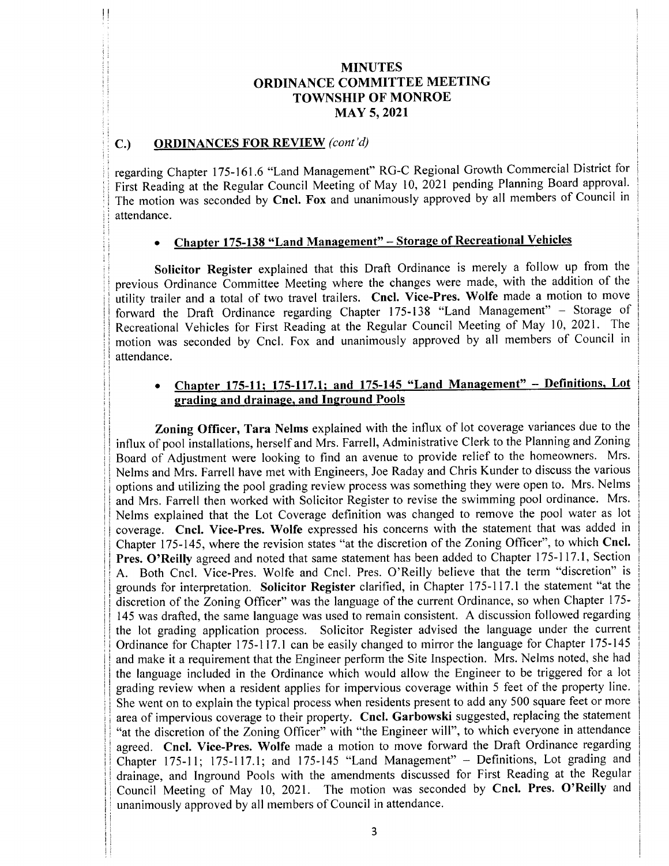#### C.) ORDINANCES FOR REVIEW (cont'd)

regarding Chapter 175-161.6 "Land Management" RG-C Regional Growth Commercial District for First Reading at the Regular Council Meeting of May 10, 2021 pending Planning Board approval. The motion was seconded by Cncl. Fox and unanimously approved by all members of Council in attendance.

## Chapter 175-138 "Land Management" - Storage of Recreational Vehicles

Solicitor Register explained that this Draft Ordinance is merely <sup>a</sup> follow up from the previous Ordinance Committee Meeting where the changes were made, with the addition of the utility trailer and a total of two travel trailers. Cncl. Vice-Pres. Wolfe made a motion to move forward the Draft Ordinance regarding Chapter 175- 138 " Land Management" — Storage of Recreational Vehicles for First Reading at the Regular Council Meeting of May 10, 2021. The motion was seconded by Cncl. Fox and unanimously approved by all members of Council in attendance.

#### Chapter 175-11; 175-117.1; and 175-145 "Land Management" - Definitions, Lot  $\bullet$ grading and drainage, and Inground Pools

Zoning Officer, Tara Nelms explained with the influx of lot coverage variances due to the influx of pool installations, herself and Mrs. Farrell, Administrative Clerk to the Planning and Zoning Board of Adjustment were looking to find an avenue to provide relief to the homeowners. Mrs. Nelms and Mrs. Farrell have met with Engineers, Joe Raday and Chris Kunder to discuss the various options and utilizing the pool grading review process was something they were open to. Mrs. Nelms and Mrs. Farrell then worked with Solicitor Register to revise the swimming pool ordinance. Mrs. Nelms explained that the Lot Coverage definition was changed to remove the pool water as lot coverage. Cncl. Vice-Pres. Wolfe expressed his concerns with the statement that was added in Chapter 175-145, where the revision states "at the discretion of the Zoning Officer", to which Cncl. Pres. O'Reilly agreed and noted that same statement has been added to Chapter 175-117.1, Section A. Both Cncl. Vice-Pres. Wolfe and Cncl. Pres. O'Reilly believe that the term "discretion" is grounds for interpretation. Solicitor Register clarified, in Chapter 175-117.1 the statement "at the discretion of the Zoning Officer" was the language of the current Ordinance, so when Chapter 175- 145 was drafted, the same language was used to remain consistent. A discussion followed regarding the lot grading application process. Solicitor Register advised the language under the current Ordinance for Chapter 175-117.1 can be easily changed to mirror the language for Chapter 175-145 and make it a requirement that the Engineer perform the Site Inspection. Mrs. Nelms noted, she had the language included in the Ordinance which would allow the Engineer to be triggered for a lot grading review when a resident applies for impervious coverage within 5 feet of the property line. She went on to explain the typical process when residents present to add any 500 square feet or more area of impervious coverage to their property. Cncl. Garbowski suggested, replacing the statement "at the discretion of the Zoning Officer" with "the Engineer will", to which everyone in attendance agreed. Cncl. Vice-Pres. Wolfe made <sup>a</sup> motion to move forward the Draft Ordinance regarding Chapter 175-11; 175-117.1; and 175-145 "Land Management" - Definitions, Lot grading and drainage, and Inground Pools with the amendments discussed for First Reading at the Regular Council Meeting of May 10, 2021. The motion was seconded by Cncl. Pres. O'Reilly and unanimously approved by all members of Council in attendance.

1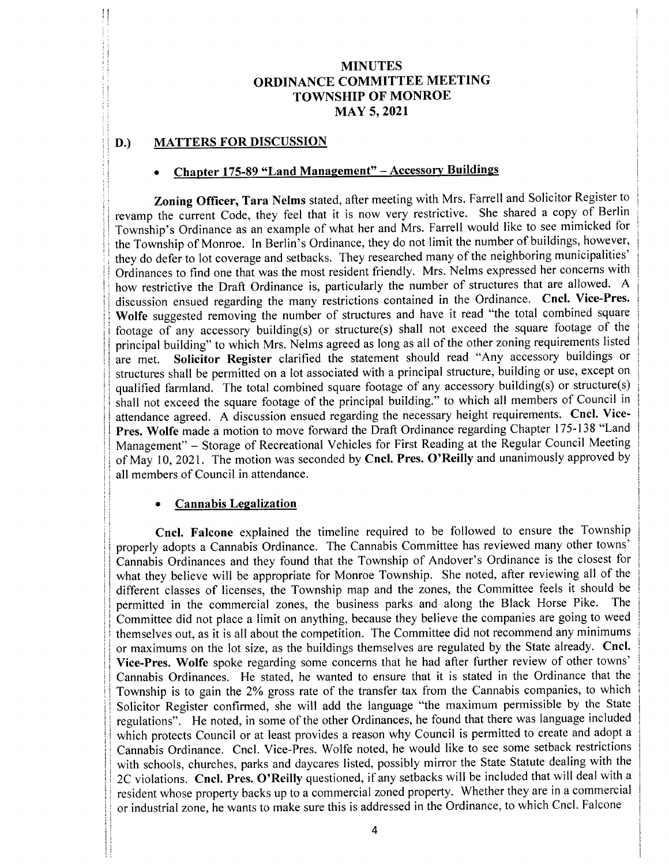### D.) MATTERS FOR DISCUSSION

# Chapter 175-89 "Land Management" - Accessory Buildings

Zoning Officer, Tara Nelms stated, after meeting with Mrs. Farrell and Solicitor Register to revamp the current Code, they feel that it is now very restrictive. She shared <sup>a</sup> copy of Berlin Township's Ordinance as an example of what her and Mrs. Farrell would like to see mimicked for the Township of Monroe. In Berlin's Ordinance, they do not limit the number of buildings, however, they do defer to lot coverage and setbacks. They researched many of the neighboring municipalities' Ordinances to find one that was the most resident friendly. Mrs. Nelms expressed her concerns with how restrictive the Draft Ordinance is, particularly the number of structures that are allowed. <sup>A</sup> discussion ensued regarding the many restrictions contained in the Ordinance. Cncl. Vice-Pres. Wolfe suggested removing the number of structures and have it read "the total combined square footage of any accessory building(s) or structure(s) shall not exceed the square footage of the principal building" to which Mrs. Nelms agreed as long as all of the other zoning requirements listed<br>are met. Solicitor Register clarified the statement should read "Any accessory buildings or Solicitor Register clarified the statement should read "Any accessory buildings or structures shall be permitted on a lot associated with a principal structure, building or use, except on qualified farmland. The total combined square footage of any accessory building(s) or structure(s) shall not exceed the square footage of the principal building." to which all members of Council in attendance agreed. A discussion ensued regarding the necessary height requirements. Cncl. Vice-Pres. Wolfe made a motion to move forward the Draft Ordinance regarding Chapter 175-138 "Land Management" — Storage of Recreational Vehicles for First Reading at the Regular Council Meeting of May 10, 2021. The motion was seconded by Cncl. Pres. O'Reilly and unanimously approved by all members of Council in attendance.

#### Cannabis Legalization

Cncl. Falcone explained the timeline required to be followed to ensure the Township properly adopts <sup>a</sup> Cannabis Ordinance. The Cannabis Committee has reviewed many other towns' Cannabis Ordinances and they found that the Township of Andover's Ordinance is the closest for what they believe will be appropriate for Monroe Township. She noted, after reviewing all of the different classes of licenses, the Township map and the zones, the Committee feels it should be<br>permitted in the commercial zones, the business parks and along the Black Horse Pike. The permitted in the commercial zones, the business parks and along the Black Horse Pike. Committee did not place a limit on anything, because they believe the companies are going to weed themselves out, as it is all about the competition. The Committee did not recommend any minimums or maximums on the lot size, as the buildings themselves are regulated by the State already. Cncl. Vice-Pres. Wolfe spoke regarding some concerns that he had after further review of other towns' Cannabis Ordinances. He stated, he wanted to ensure that it is stated in the Ordinance that the Township is to gain the 2% gross rate of the transfer tax from the Cannabis companies, to which Solicitor Register confirmed, she will add the language "the maximum permissible by the State regulations". He noted, in some of the other Ordinances, he found that there was language included which protects Council or at least provides a reason why Council is permitted to create and adopt a Cannabis Ordinance. Cncl. Vice-Pres. Wolfe noted, he would like to see some setback restrictions with schools, churches, parks and daycares listed, possibly mirror the State Statute dealing with the 2C violations. Cncl. Pres. O'Reilly questioned, if any setbacks will be included that will deal with a resident whose property backs up to a commercial zoned property. Whether they are in a commercial or industrial zone, he wants to make sure this is addressed in the Ordinance, to which Cncl. Falcone

i!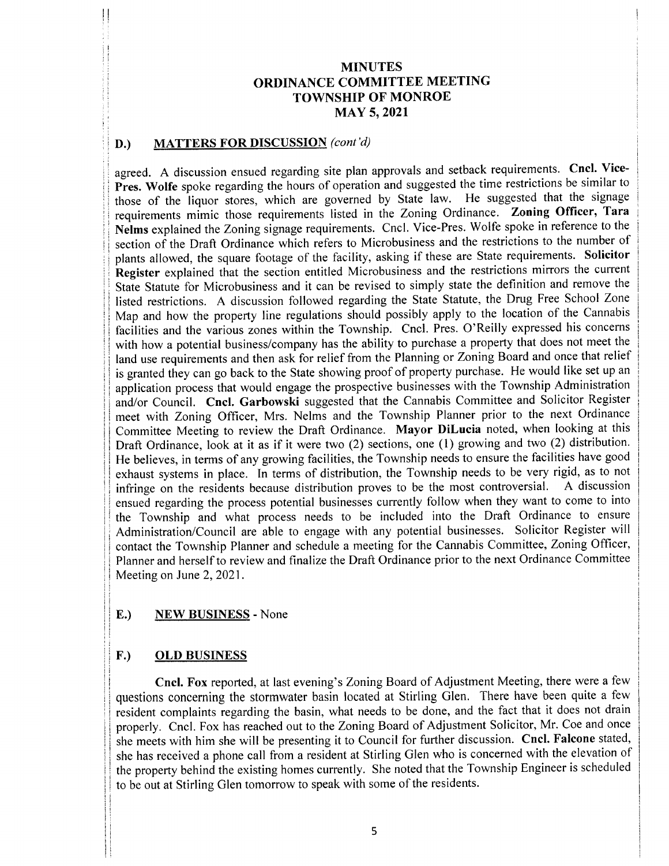#### D.) MATTERS FOR DISCUSSION (cont'd)

it

ii

agreed. A discussion ensued regarding site plan approvals and setback requirements. Cncl. Vice-Pres. Wolfe spoke regarding the hours of operation and suggested the time restrictions be similar to those of the liquor stores, which are governed by State law. He suggested that the signage requirements mimic those requirements listed in the Zoning Ordinance. Zoning Officer, Tara Nelms explained the Zoning signage requirements. Cncl. Vice- Pres. Wolfe spoke in reference to the section of the Draft Ordinance which refers to Microbusiness and the restrictions to the number of plants allowed, the square footage of the facility, asking if these are State requirements. Solicitor Register explained that the section entitled Microbusiness and the restrictions mirrors the current State Statute for Microbusiness and it can be revised to simply state the definition and remove the listed restrictions. A discussion followed regarding the State Statute, the Drug Free School Zone Map and how the property line regulations should possibly apply to the location of the Cannabis facilities and the various zones within the Township. Cncl. Pres. O'Reilly expressed his concerns with how a potential business/ company has the ability to purchase a property that does not meet the land use requirements and then ask for relief from the Planning or Zoning Board and once that relief is granted they can go back to the State showing proof of property purchase. He would like set up an application process that would engage the prospective businesses with the Township Administration and/or Council. Cncl. Garbowski suggested that the Cannabis Committee and Solicitor Register meet with Zoning Officer, Mrs. Nelms and the Township Planner prior to the next Ordinance Committee Meeting to review the Draft Ordinance. Mayor DiLucia noted, when looking at this Draft Ordinance, look at it as if it were two (2) sections, one (1) growing and two (2) distribution. He believes, in terms of any growing facilities, the Township needs to ensure the facilities have good exhaust systems in place. In terms of distribution, the Township needs to be very rigid, as to not infringe on the residents because distribution proves to be the most controversial. A discussion infringe on the residents because distribution proves to be the most controversial. ensued regarding the process potential businesses currently follow when they want to come to into the Township and what process needs to be included into the Draft Ordinance to ensure Administration/Council are able to engage with any potential businesses. Solicitor Register will contact the Township Planner and schedule a meeting for the Cannabis Committee, Zoning Officer, Planner and herself to review and finalize the Draft Ordinance prior to the next Ordinance Committee Meeting on June 2, 2021.

### E.) NEW BUSINESS - None

#### F.) OLD BUSINESS

Cncl. Fox reported, at last evening's Zoning Board of Adjustment Meeting, there were a few questions concerning the stormwater basin located at Stirling Glen. There have been quite <sup>a</sup> few resident complaints regarding the basin, what needs to be done, and the fact that it does not drain properly. Cncl. Fox has reached out to the Zoning Board of Adjustment Solicitor, Mr. Coe and once she meets with him she will be presenting it to Council for further discussion. Cncl. Falcone stated, she has received a phone call from <sup>a</sup> resident at Stirling Glen who is concerned with the elevation of the property behind the existing homes currently. She noted that the Township Engineer is scheduled to be out at Stirling Glen tomorrow to speak with some of the residents.